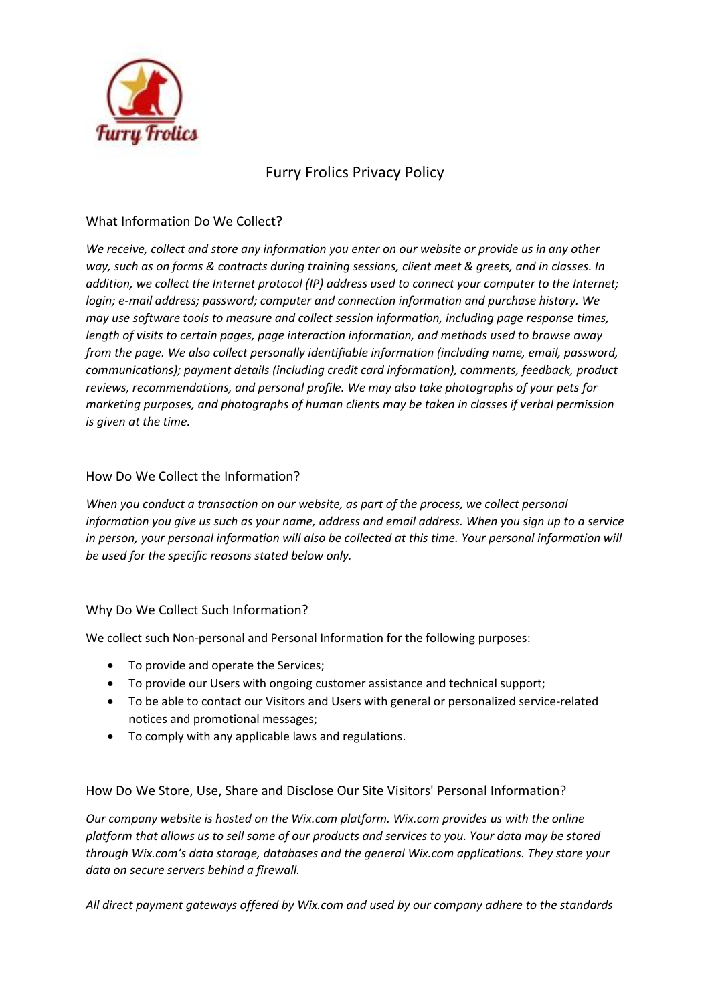

# Furry Frolics Privacy Policy

## What Information Do We Collect?

*We receive, collect and store any information you enter on our website or provide us in any other way, such as on forms & contracts during training sessions, client meet & greets, and in classes. In addition, we collect the Internet protocol (IP) address used to connect your computer to the Internet; login; e-mail address; password; computer and connection information and purchase history. We may use software tools to measure and collect session information, including page response times, length of visits to certain pages, page interaction information, and methods used to browse away from the page. We also collect personally identifiable information (including name, email, password, communications); payment details (including credit card information), comments, feedback, product reviews, recommendations, and personal profile. We may also take photographs of your pets for marketing purposes, and photographs of human clients may be taken in classes if verbal permission is given at the time.* 

## How Do We Collect the Information?

*When you conduct a transaction on our website, as part of the process, we collect personal information you give us such as your name, address and email address. When you sign up to a service in person, your personal information will also be collected at this time. Your personal information will be used for the specific reasons stated below only.*

# Why Do We Collect Such Information?

We collect such Non-personal and Personal Information for the following purposes:

- To provide and operate the Services;
- To provide our Users with ongoing customer assistance and technical support;
- To be able to contact our Visitors and Users with general or personalized service-related notices and promotional messages;
- To comply with any applicable laws and regulations.

#### How Do We Store, Use, Share and Disclose Our Site Visitors' Personal Information?

*Our company website is hosted on the Wix.com platform. Wix.com provides us with the online platform that allows us to sell some of our products and services to you. Your data may be stored through Wix.com's data storage, databases and the general Wix.com applications. They store your data on secure servers behind a firewall.*

*All direct payment gateways offered by Wix.com and used by our company adhere to the standards*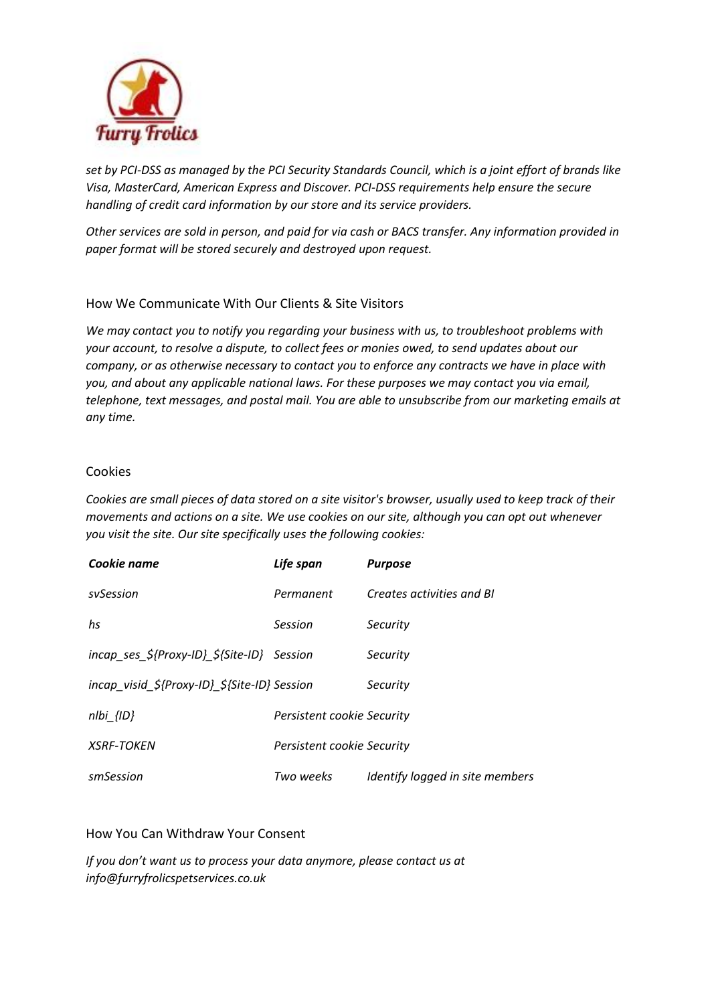

*set by PCI-DSS as managed by the PCI Security Standards Council, which is a joint effort of brands like Visa, MasterCard, American Express and Discover. PCI-DSS requirements help ensure the secure handling of credit card information by our store and its service providers.*

*Other services are sold in person, and paid for via cash or BACS transfer. Any information provided in paper format will be stored securely and destroyed upon request.*

## How We Communicate With Our Clients & Site Visitors

*We may contact you to notify you regarding your business with us, to troubleshoot problems with your account, to resolve a dispute, to collect fees or monies owed, to send updates about our company, or as otherwise necessary to contact you to enforce any contracts we have in place with you, and about any applicable national laws. For these purposes we may contact you via email, telephone, text messages, and postal mail. You are able to unsubscribe from our marketing emails at any time.*

## Cookies

*Cookies are small pieces of data stored on a site visitor's browser, usually used to keep track of their movements and actions on a site. We use cookies on our site, although you can opt out whenever you visit the site. Our site specifically uses the following cookies:*

| Cookie name                                                            | Life span                  | <b>Purpose</b>                  |
|------------------------------------------------------------------------|----------------------------|---------------------------------|
| sySession                                                              | Permanent                  | Creates activities and BI       |
| hs                                                                     | Session                    | Security                        |
| $incap$ ses $\frac{5}{r}$ Proxy-ID} $\frac{5}{s}$ Site-ID} Session     |                            | Security                        |
| $incap$ visid $\frac{2}{3}$ {Proxy-ID} $\frac{2}{3}$ {Site-ID} Session |                            | Security                        |
| $nIbi \{ID\}$                                                          | Persistent cookie Security |                                 |
| <b>XSRF-TOKEN</b>                                                      | Persistent cookie Security |                                 |
| smSession                                                              | Two weeks                  | Identify logged in site members |

#### How You Can Withdraw Your Consent

*If you don't want us to process your data anymore, please contact us at info@furryfrolicspetservices.co.uk*